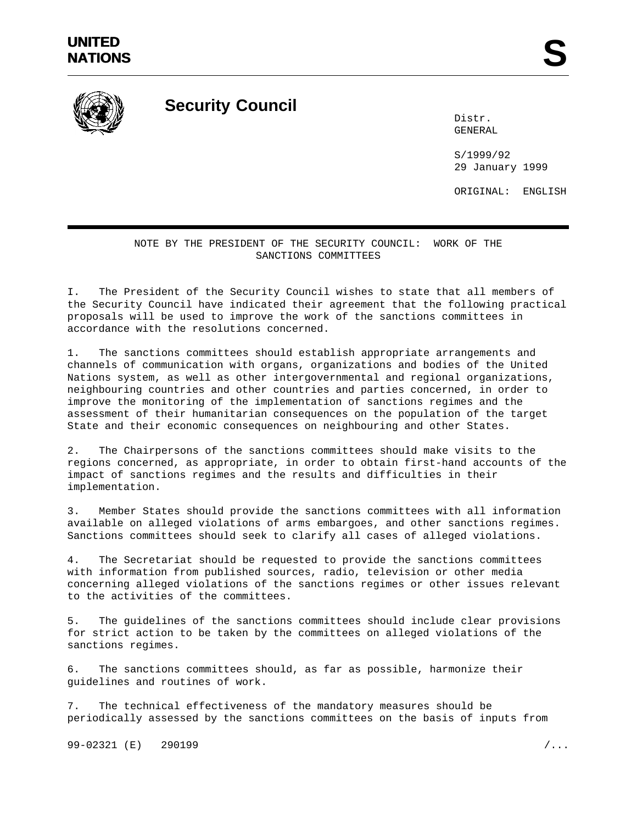

**Security Council**

Distr. GENERAL

S/1999/92 29 January 1999

ORIGINAL: ENGLISH

## NOTE BY THE PRESIDENT OF THE SECURITY COUNCIL: WORK OF THE SANCTIONS COMMITTEES

I. The President of the Security Council wishes to state that all members of the Security Council have indicated their agreement that the following practical proposals will be used to improve the work of the sanctions committees in accordance with the resolutions concerned.

1. The sanctions committees should establish appropriate arrangements and channels of communication with organs, organizations and bodies of the United Nations system, as well as other intergovernmental and regional organizations, neighbouring countries and other countries and parties concerned, in order to improve the monitoring of the implementation of sanctions regimes and the assessment of their humanitarian consequences on the population of the target State and their economic consequences on neighbouring and other States.

2. The Chairpersons of the sanctions committees should make visits to the regions concerned, as appropriate, in order to obtain first-hand accounts of the impact of sanctions regimes and the results and difficulties in their implementation.

3. Member States should provide the sanctions committees with all information available on alleged violations of arms embargoes, and other sanctions regimes. Sanctions committees should seek to clarify all cases of alleged violations.

4. The Secretariat should be requested to provide the sanctions committees with information from published sources, radio, television or other media concerning alleged violations of the sanctions regimes or other issues relevant to the activities of the committees.

5. The guidelines of the sanctions committees should include clear provisions for strict action to be taken by the committees on alleged violations of the sanctions regimes.

6. The sanctions committees should, as far as possible, harmonize their guidelines and routines of work.

7. The technical effectiveness of the mandatory measures should be periodically assessed by the sanctions committees on the basis of inputs from

99-02321 (E) 290199 /...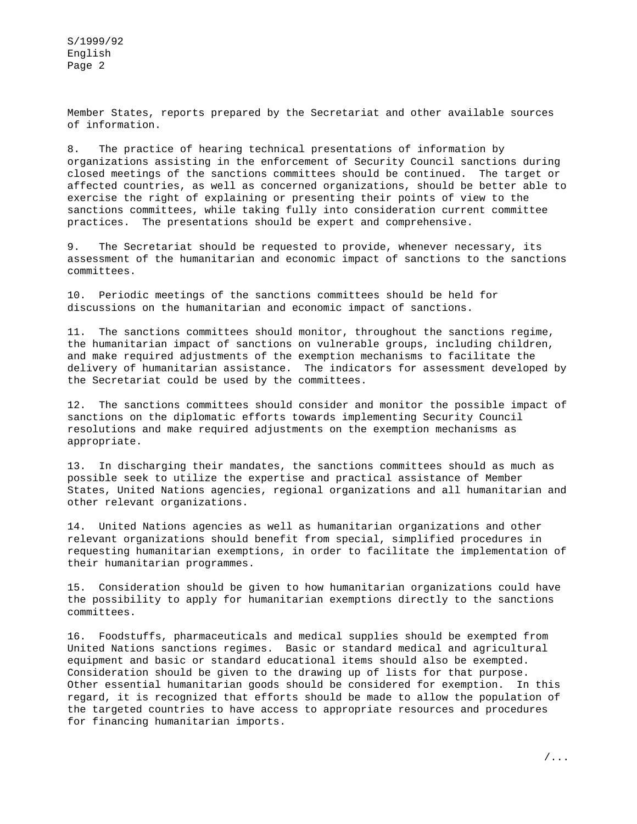S/1999/92 English Page 2

Member States, reports prepared by the Secretariat and other available sources of information.

8. The practice of hearing technical presentations of information by organizations assisting in the enforcement of Security Council sanctions during closed meetings of the sanctions committees should be continued. The target or affected countries, as well as concerned organizations, should be better able to exercise the right of explaining or presenting their points of view to the sanctions committees, while taking fully into consideration current committee practices. The presentations should be expert and comprehensive.

9. The Secretariat should be requested to provide, whenever necessary, its assessment of the humanitarian and economic impact of sanctions to the sanctions committees.

10. Periodic meetings of the sanctions committees should be held for discussions on the humanitarian and economic impact of sanctions.

11. The sanctions committees should monitor, throughout the sanctions regime, the humanitarian impact of sanctions on vulnerable groups, including children, and make required adjustments of the exemption mechanisms to facilitate the delivery of humanitarian assistance. The indicators for assessment developed by the Secretariat could be used by the committees.

12. The sanctions committees should consider and monitor the possible impact of sanctions on the diplomatic efforts towards implementing Security Council resolutions and make required adjustments on the exemption mechanisms as appropriate.

13. In discharging their mandates, the sanctions committees should as much as possible seek to utilize the expertise and practical assistance of Member States, United Nations agencies, regional organizations and all humanitarian and other relevant organizations.

14. United Nations agencies as well as humanitarian organizations and other relevant organizations should benefit from special, simplified procedures in requesting humanitarian exemptions, in order to facilitate the implementation of their humanitarian programmes.

15. Consideration should be given to how humanitarian organizations could have the possibility to apply for humanitarian exemptions directly to the sanctions committees.

16. Foodstuffs, pharmaceuticals and medical supplies should be exempted from United Nations sanctions regimes. Basic or standard medical and agricultural equipment and basic or standard educational items should also be exempted. Consideration should be given to the drawing up of lists for that purpose. Other essential humanitarian goods should be considered for exemption. In this regard, it is recognized that efforts should be made to allow the population of the targeted countries to have access to appropriate resources and procedures for financing humanitarian imports.